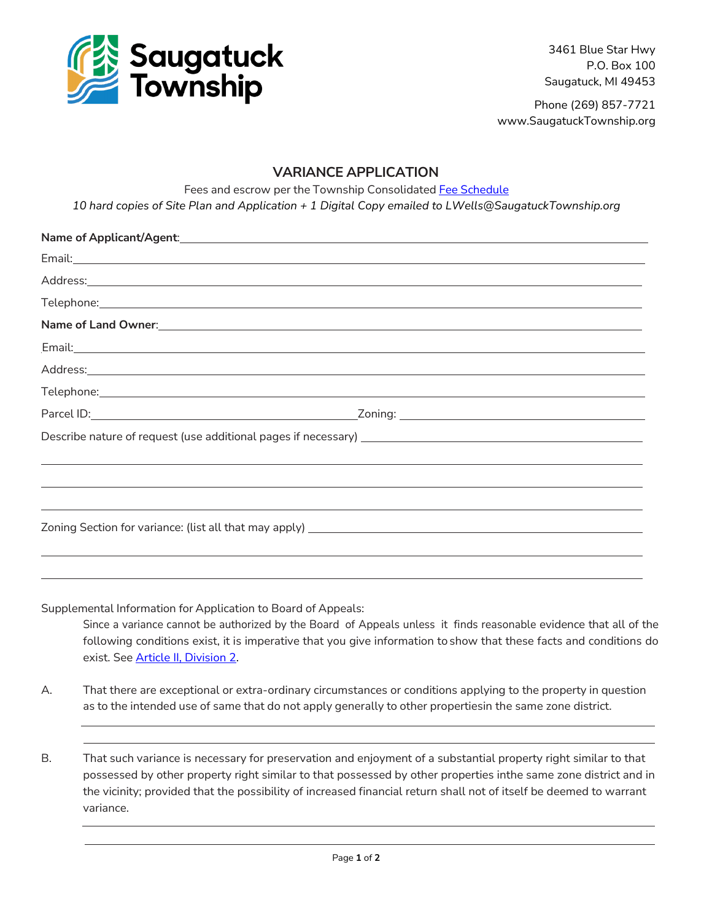

3461 Blue Star Hwy P.O. Box 100 Saugatuck, MI 49453

Phone (269) 857-7721 www.SaugatuckTownship.org

## **VARIANCE APPLICATION**

Fees and escrow per the Township Consolidated Fee [Schedule](http://saugatucktownship.org/kcuTaGuaS/wp-content/uploads/bsk-pdf-manager/NEW_Consolidated_Fees_FINAL_05.01.2022_1517.pdf)

*10 hard copies of Site Plan and Application + 1 Digital Copy emailed to LWells@SaugatuckTownship.org*

| Name of Land Owner: Name of Land Owners and Committee of Land Owners and Committee of Land Owners and Committee                                                                                                                      |  |
|--------------------------------------------------------------------------------------------------------------------------------------------------------------------------------------------------------------------------------------|--|
| Email: <u>Alexander Alexander Alexander Alexander Alexander Alexander Alexander Alexander Alexander Alexander Alexander Alexander Alexander Alexander Alexander Alexander Alexander Alexander Alexander Alexander Alexander Alex</u> |  |
|                                                                                                                                                                                                                                      |  |
|                                                                                                                                                                                                                                      |  |
|                                                                                                                                                                                                                                      |  |
|                                                                                                                                                                                                                                      |  |
|                                                                                                                                                                                                                                      |  |
| ,我们也不会有什么?""我们的人,我们也不会有什么?""我们的人,我们也不会有什么?""我们的人,我们也不会有什么?""我们的人,我们也不会有什么?""我们的人                                                                                                                                                     |  |
|                                                                                                                                                                                                                                      |  |
|                                                                                                                                                                                                                                      |  |
|                                                                                                                                                                                                                                      |  |
|                                                                                                                                                                                                                                      |  |

Supplemental Information for Application to Board of Appeals:

Since a variance cannot be authorized by the Board of Appeals unless it finds reasonable evidence that all of the following conditions exist, it is imperative that you give information to show that these facts and conditions do exist. See [Article II, Division 2.](https://library.municode.com/mi/saugatuck_township,_(allegan_co.)/codes/code_of_ordinances?nodeId=COOR_CH40ZO_ARTIIADEN_DIV2ZOBOAP)

- A. That there are exceptional or extra-ordinary circumstances or conditions applying to the property in question as to the intended use of same that do not apply generally to other propertiesin the same zone district.
- B. That such variance is necessary for preservation and enjoyment of a substantial property right similar to that possessed by other property right similar to that possessed by other properties inthe same zone district and in the vicinity; provided that the possibility of increased financial return shall not of itself be deemed to warrant variance.